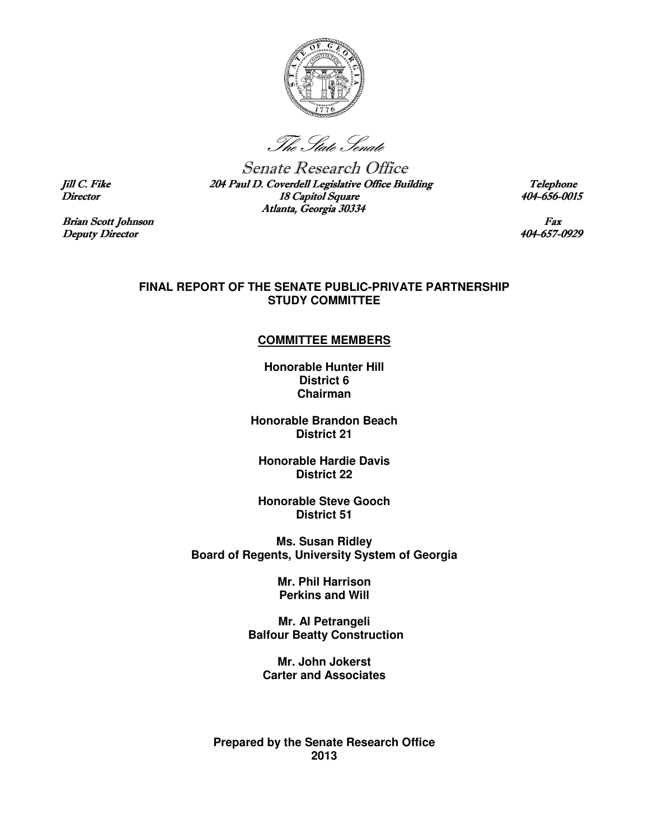

The State Senate

Senate Research Office Jill C. Fike 204 Paul D. Coverdell Legislative Office Building Telephone Director 18 Capitol Square 18 Capitol Square 404-656-0015 Atlanta, Georgia 30334

Brian Scott Johnson Fax<br>
Deputy Director 404-657-0929

## **FINAL REPORT OF THE SENATE PUBLIC-PRIVATE PARTNERSHIP STUDY COMMITTEE**

## **COMMITTEE MEMBERS**

**Honorable Hunter Hill District 6 Chairman** 

**Honorable Brandon Beach District 21** 

**Honorable Hardie Davis District 22** 

**Honorable Steve Gooch District 51** 

**Ms. Susan Ridley Board of Regents, University System of Georgia** 

> **Mr. Phil Harrison Perkins and Will**

**Mr. Al Petrangeli Balfour Beatty Construction** 

**Mr. John Jokerst Carter and Associates** 

**Prepared by the Senate Research Office 2013** 

Deputy Director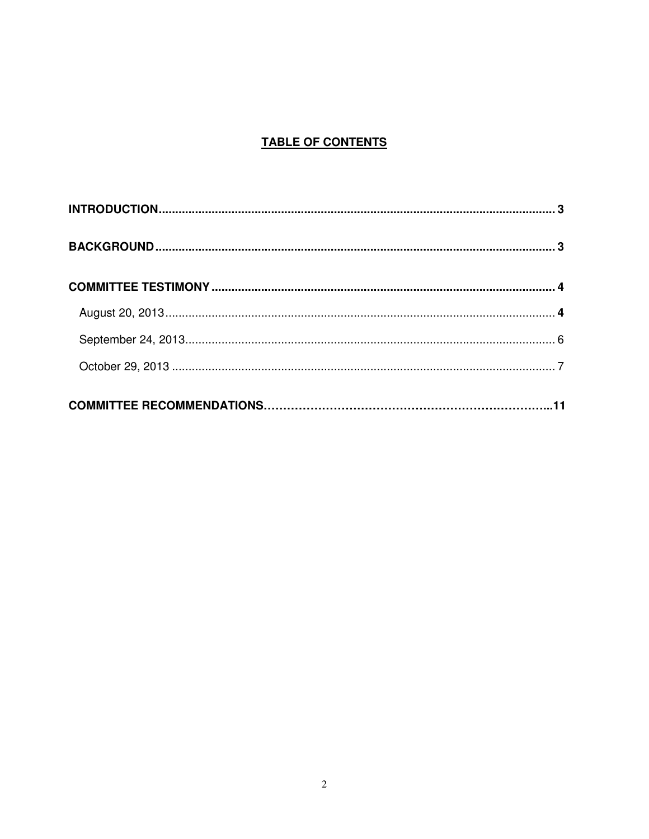# **TABLE OF CONTENTS**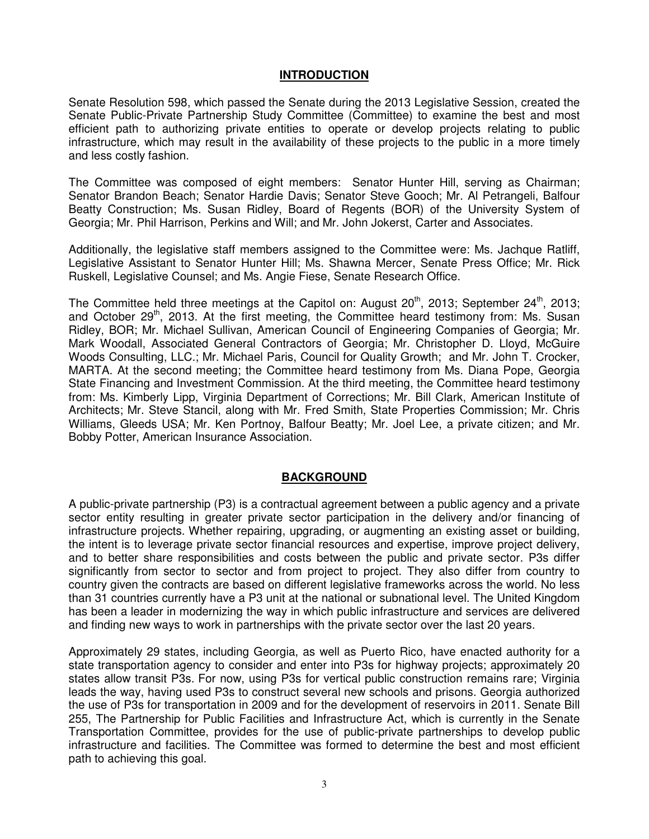# **INTRODUCTION**

Senate Resolution 598, which passed the Senate during the 2013 Legislative Session, created the Senate Public-Private Partnership Study Committee (Committee) to examine the best and most efficient path to authorizing private entities to operate or develop projects relating to public infrastructure, which may result in the availability of these projects to the public in a more timely and less costly fashion.

The Committee was composed of eight members: Senator Hunter Hill, serving as Chairman; Senator Brandon Beach; Senator Hardie Davis; Senator Steve Gooch; Mr. Al Petrangeli, Balfour Beatty Construction; Ms. Susan Ridley, Board of Regents (BOR) of the University System of Georgia; Mr. Phil Harrison, Perkins and Will; and Mr. John Jokerst, Carter and Associates.

Additionally, the legislative staff members assigned to the Committee were: Ms. Jachque Ratliff, Legislative Assistant to Senator Hunter Hill; Ms. Shawna Mercer, Senate Press Office; Mr. Rick Ruskell, Legislative Counsel; and Ms. Angie Fiese, Senate Research Office.

The Committee held three meetings at the Capitol on: August  $20<sup>th</sup>$ , 2013; September  $24<sup>th</sup>$ , 2013; and October  $29<sup>th</sup>$ , 2013. At the first meeting, the Committee heard testimony from: Ms. Susan Ridley, BOR; Mr. Michael Sullivan, American Council of Engineering Companies of Georgia; Mr. Mark Woodall, Associated General Contractors of Georgia; Mr. Christopher D. Lloyd, McGuire Woods Consulting, LLC.; Mr. Michael Paris, Council for Quality Growth; and Mr. John T. Crocker, MARTA. At the second meeting; the Committee heard testimony from Ms. Diana Pope, Georgia State Financing and Investment Commission. At the third meeting, the Committee heard testimony from: Ms. Kimberly Lipp, Virginia Department of Corrections; Mr. Bill Clark, American Institute of Architects; Mr. Steve Stancil, along with Mr. Fred Smith, State Properties Commission; Mr. Chris Williams, Gleeds USA; Mr. Ken Portnoy, Balfour Beatty; Mr. Joel Lee, a private citizen; and Mr. Bobby Potter, American Insurance Association.

# **BACKGROUND**

A public-private partnership (P3) is a contractual agreement between a public agency and a private sector entity resulting in greater private sector participation in the delivery and/or financing of infrastructure projects. Whether repairing, upgrading, or augmenting an existing asset or building, the intent is to leverage private sector financial resources and expertise, improve project delivery, and to better share responsibilities and costs between the public and private sector. P3s differ significantly from sector to sector and from project to project. They also differ from country to country given the contracts are based on different legislative frameworks across the world. No less than 31 countries currently have a P3 unit at the national or subnational level. The United Kingdom has been a leader in modernizing the way in which public infrastructure and services are delivered and finding new ways to work in partnerships with the private sector over the last 20 years.

Approximately 29 states, including Georgia, as well as Puerto Rico, have enacted authority for a state transportation agency to consider and enter into P3s for highway projects; approximately 20 states allow transit P3s. For now, using P3s for vertical public construction remains rare; Virginia leads the way, having used P3s to construct several new schools and prisons. Georgia authorized the use of P3s for transportation in 2009 and for the development of reservoirs in 2011. Senate Bill 255, The Partnership for Public Facilities and Infrastructure Act, which is currently in the Senate Transportation Committee, provides for the use of public-private partnerships to develop public infrastructure and facilities. The Committee was formed to determine the best and most efficient path to achieving this goal.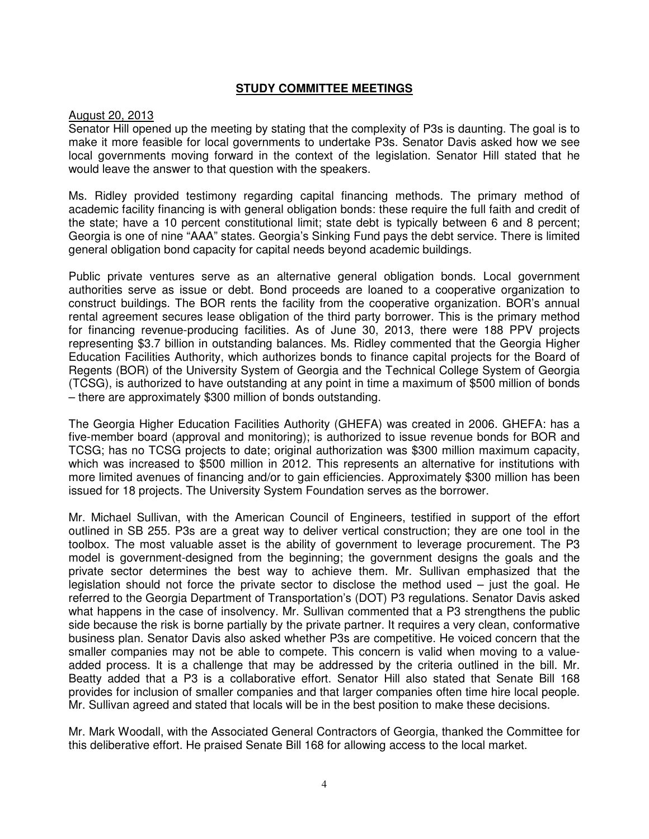# **STUDY COMMITTEE MEETINGS**

## August 20, 2013

Senator Hill opened up the meeting by stating that the complexity of P3s is daunting. The goal is to make it more feasible for local governments to undertake P3s. Senator Davis asked how we see local governments moving forward in the context of the legislation. Senator Hill stated that he would leave the answer to that question with the speakers.

Ms. Ridley provided testimony regarding capital financing methods. The primary method of academic facility financing is with general obligation bonds: these require the full faith and credit of the state; have a 10 percent constitutional limit; state debt is typically between 6 and 8 percent; Georgia is one of nine "AAA" states. Georgia's Sinking Fund pays the debt service. There is limited general obligation bond capacity for capital needs beyond academic buildings.

Public private ventures serve as an alternative general obligation bonds. Local government authorities serve as issue or debt. Bond proceeds are loaned to a cooperative organization to construct buildings. The BOR rents the facility from the cooperative organization. BOR's annual rental agreement secures lease obligation of the third party borrower. This is the primary method for financing revenue-producing facilities. As of June 30, 2013, there were 188 PPV projects representing \$3.7 billion in outstanding balances. Ms. Ridley commented that the Georgia Higher Education Facilities Authority, which authorizes bonds to finance capital projects for the Board of Regents (BOR) of the University System of Georgia and the Technical College System of Georgia (TCSG), is authorized to have outstanding at any point in time a maximum of \$500 million of bonds – there are approximately \$300 million of bonds outstanding.

The Georgia Higher Education Facilities Authority (GHEFA) was created in 2006. GHEFA: has a five-member board (approval and monitoring); is authorized to issue revenue bonds for BOR and TCSG; has no TCSG projects to date; original authorization was \$300 million maximum capacity, which was increased to \$500 million in 2012. This represents an alternative for institutions with more limited avenues of financing and/or to gain efficiencies. Approximately \$300 million has been issued for 18 projects. The University System Foundation serves as the borrower.

Mr. Michael Sullivan, with the American Council of Engineers, testified in support of the effort outlined in SB 255. P3s are a great way to deliver vertical construction; they are one tool in the toolbox. The most valuable asset is the ability of government to leverage procurement. The P3 model is government-designed from the beginning; the government designs the goals and the private sector determines the best way to achieve them. Mr. Sullivan emphasized that the legislation should not force the private sector to disclose the method used – just the goal. He referred to the Georgia Department of Transportation's (DOT) P3 regulations. Senator Davis asked what happens in the case of insolvency. Mr. Sullivan commented that a P3 strengthens the public side because the risk is borne partially by the private partner. It requires a very clean, conformative business plan. Senator Davis also asked whether P3s are competitive. He voiced concern that the smaller companies may not be able to compete. This concern is valid when moving to a valueadded process. It is a challenge that may be addressed by the criteria outlined in the bill. Mr. Beatty added that a P3 is a collaborative effort. Senator Hill also stated that Senate Bill 168 provides for inclusion of smaller companies and that larger companies often time hire local people. Mr. Sullivan agreed and stated that locals will be in the best position to make these decisions.

Mr. Mark Woodall, with the Associated General Contractors of Georgia, thanked the Committee for this deliberative effort. He praised Senate Bill 168 for allowing access to the local market.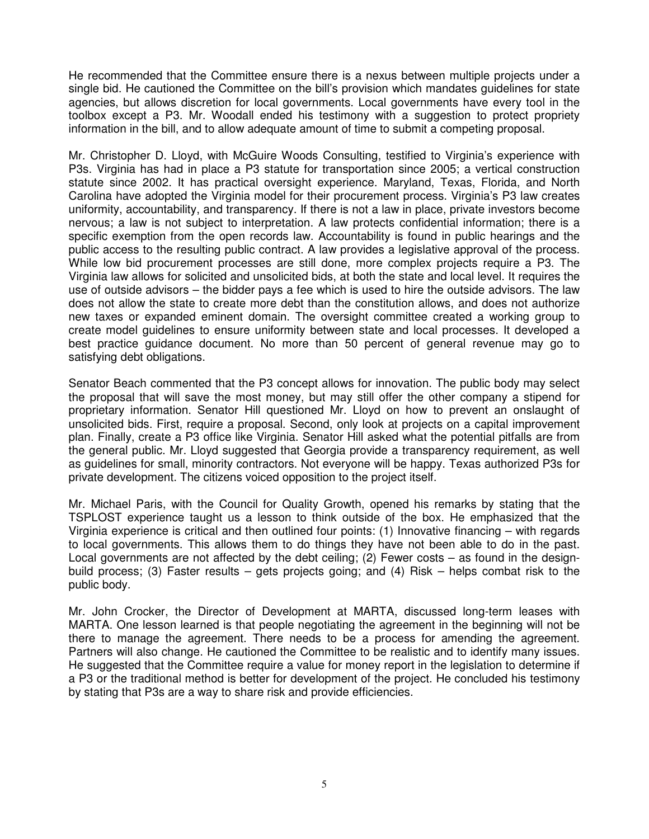He recommended that the Committee ensure there is a nexus between multiple projects under a single bid. He cautioned the Committee on the bill's provision which mandates guidelines for state agencies, but allows discretion for local governments. Local governments have every tool in the toolbox except a P3. Mr. Woodall ended his testimony with a suggestion to protect propriety information in the bill, and to allow adequate amount of time to submit a competing proposal.

Mr. Christopher D. Lloyd, with McGuire Woods Consulting, testified to Virginia's experience with P3s. Virginia has had in place a P3 statute for transportation since 2005; a vertical construction statute since 2002. It has practical oversight experience. Maryland, Texas, Florida, and North Carolina have adopted the Virginia model for their procurement process. Virginia's P3 law creates uniformity, accountability, and transparency. If there is not a law in place, private investors become nervous; a law is not subject to interpretation. A law protects confidential information; there is a specific exemption from the open records law. Accountability is found in public hearings and the public access to the resulting public contract. A law provides a legislative approval of the process. While low bid procurement processes are still done, more complex projects require a P3. The Virginia law allows for solicited and unsolicited bids, at both the state and local level. It requires the use of outside advisors – the bidder pays a fee which is used to hire the outside advisors. The law does not allow the state to create more debt than the constitution allows, and does not authorize new taxes or expanded eminent domain. The oversight committee created a working group to create model guidelines to ensure uniformity between state and local processes. It developed a best practice guidance document. No more than 50 percent of general revenue may go to satisfying debt obligations.

Senator Beach commented that the P3 concept allows for innovation. The public body may select the proposal that will save the most money, but may still offer the other company a stipend for proprietary information. Senator Hill questioned Mr. Lloyd on how to prevent an onslaught of unsolicited bids. First, require a proposal. Second, only look at projects on a capital improvement plan. Finally, create a P3 office like Virginia. Senator Hill asked what the potential pitfalls are from the general public. Mr. Lloyd suggested that Georgia provide a transparency requirement, as well as guidelines for small, minority contractors. Not everyone will be happy. Texas authorized P3s for private development. The citizens voiced opposition to the project itself.

Mr. Michael Paris, with the Council for Quality Growth, opened his remarks by stating that the TSPLOST experience taught us a lesson to think outside of the box. He emphasized that the Virginia experience is critical and then outlined four points: (1) Innovative financing – with regards to local governments. This allows them to do things they have not been able to do in the past. Local governments are not affected by the debt ceiling; (2) Fewer costs – as found in the designbuild process; (3) Faster results – gets projects going; and (4) Risk – helps combat risk to the public body.

Mr. John Crocker, the Director of Development at MARTA, discussed long-term leases with MARTA. One lesson learned is that people negotiating the agreement in the beginning will not be there to manage the agreement. There needs to be a process for amending the agreement. Partners will also change. He cautioned the Committee to be realistic and to identify many issues. He suggested that the Committee require a value for money report in the legislation to determine if a P3 or the traditional method is better for development of the project. He concluded his testimony by stating that P3s are a way to share risk and provide efficiencies.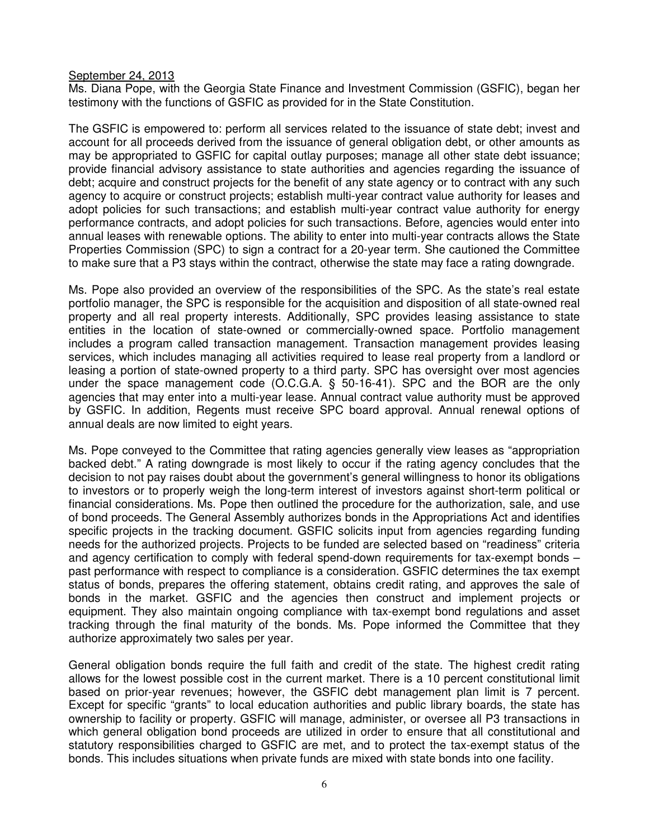# September 24, 2013

Ms. Diana Pope, with the Georgia State Finance and Investment Commission (GSFIC), began her testimony with the functions of GSFIC as provided for in the State Constitution.

The GSFIC is empowered to: perform all services related to the issuance of state debt; invest and account for all proceeds derived from the issuance of general obligation debt, or other amounts as may be appropriated to GSFIC for capital outlay purposes; manage all other state debt issuance; provide financial advisory assistance to state authorities and agencies regarding the issuance of debt; acquire and construct projects for the benefit of any state agency or to contract with any such agency to acquire or construct projects; establish multi-year contract value authority for leases and adopt policies for such transactions; and establish multi-year contract value authority for energy performance contracts, and adopt policies for such transactions. Before, agencies would enter into annual leases with renewable options. The ability to enter into multi-year contracts allows the State Properties Commission (SPC) to sign a contract for a 20-year term. She cautioned the Committee to make sure that a P3 stays within the contract, otherwise the state may face a rating downgrade.

Ms. Pope also provided an overview of the responsibilities of the SPC. As the state's real estate portfolio manager, the SPC is responsible for the acquisition and disposition of all state-owned real property and all real property interests. Additionally, SPC provides leasing assistance to state entities in the location of state-owned or commercially-owned space. Portfolio management includes a program called transaction management. Transaction management provides leasing services, which includes managing all activities required to lease real property from a landlord or leasing a portion of state-owned property to a third party. SPC has oversight over most agencies under the space management code (O.C.G.A. § 50-16-41). SPC and the BOR are the only agencies that may enter into a multi-year lease. Annual contract value authority must be approved by GSFIC. In addition, Regents must receive SPC board approval. Annual renewal options of annual deals are now limited to eight years.

Ms. Pope conveyed to the Committee that rating agencies generally view leases as "appropriation backed debt." A rating downgrade is most likely to occur if the rating agency concludes that the decision to not pay raises doubt about the government's general willingness to honor its obligations to investors or to properly weigh the long-term interest of investors against short-term political or financial considerations. Ms. Pope then outlined the procedure for the authorization, sale, and use of bond proceeds. The General Assembly authorizes bonds in the Appropriations Act and identifies specific projects in the tracking document. GSFIC solicits input from agencies regarding funding needs for the authorized projects. Projects to be funded are selected based on "readiness" criteria and agency certification to comply with federal spend-down requirements for tax-exempt bonds – past performance with respect to compliance is a consideration. GSFIC determines the tax exempt status of bonds, prepares the offering statement, obtains credit rating, and approves the sale of bonds in the market. GSFIC and the agencies then construct and implement projects or equipment. They also maintain ongoing compliance with tax-exempt bond regulations and asset tracking through the final maturity of the bonds. Ms. Pope informed the Committee that they authorize approximately two sales per year.

General obligation bonds require the full faith and credit of the state. The highest credit rating allows for the lowest possible cost in the current market. There is a 10 percent constitutional limit based on prior-year revenues; however, the GSFIC debt management plan limit is 7 percent. Except for specific "grants" to local education authorities and public library boards, the state has ownership to facility or property. GSFIC will manage, administer, or oversee all P3 transactions in which general obligation bond proceeds are utilized in order to ensure that all constitutional and statutory responsibilities charged to GSFIC are met, and to protect the tax-exempt status of the bonds. This includes situations when private funds are mixed with state bonds into one facility.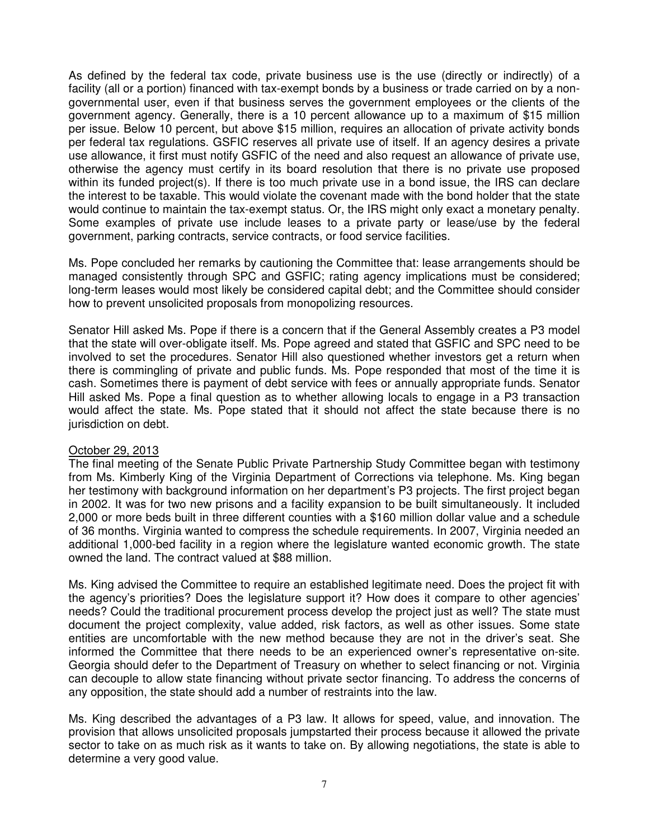As defined by the federal tax code, private business use is the use (directly or indirectly) of a facility (all or a portion) financed with tax-exempt bonds by a business or trade carried on by a nongovernmental user, even if that business serves the government employees or the clients of the government agency. Generally, there is a 10 percent allowance up to a maximum of \$15 million per issue. Below 10 percent, but above \$15 million, requires an allocation of private activity bonds per federal tax regulations. GSFIC reserves all private use of itself. If an agency desires a private use allowance, it first must notify GSFIC of the need and also request an allowance of private use, otherwise the agency must certify in its board resolution that there is no private use proposed within its funded project(s). If there is too much private use in a bond issue, the IRS can declare the interest to be taxable. This would violate the covenant made with the bond holder that the state would continue to maintain the tax-exempt status. Or, the IRS might only exact a monetary penalty. Some examples of private use include leases to a private party or lease/use by the federal government, parking contracts, service contracts, or food service facilities.

Ms. Pope concluded her remarks by cautioning the Committee that: lease arrangements should be managed consistently through SPC and GSFIC; rating agency implications must be considered; long-term leases would most likely be considered capital debt; and the Committee should consider how to prevent unsolicited proposals from monopolizing resources.

Senator Hill asked Ms. Pope if there is a concern that if the General Assembly creates a P3 model that the state will over-obligate itself. Ms. Pope agreed and stated that GSFIC and SPC need to be involved to set the procedures. Senator Hill also questioned whether investors get a return when there is commingling of private and public funds. Ms. Pope responded that most of the time it is cash. Sometimes there is payment of debt service with fees or annually appropriate funds. Senator Hill asked Ms. Pope a final question as to whether allowing locals to engage in a P3 transaction would affect the state. Ms. Pope stated that it should not affect the state because there is no jurisdiction on debt.

## October 29, 2013

The final meeting of the Senate Public Private Partnership Study Committee began with testimony from Ms. Kimberly King of the Virginia Department of Corrections via telephone. Ms. King began her testimony with background information on her department's P3 projects. The first project began in 2002. It was for two new prisons and a facility expansion to be built simultaneously. It included 2,000 or more beds built in three different counties with a \$160 million dollar value and a schedule of 36 months. Virginia wanted to compress the schedule requirements. In 2007, Virginia needed an additional 1,000-bed facility in a region where the legislature wanted economic growth. The state owned the land. The contract valued at \$88 million.

Ms. King advised the Committee to require an established legitimate need. Does the project fit with the agency's priorities? Does the legislature support it? How does it compare to other agencies' needs? Could the traditional procurement process develop the project just as well? The state must document the project complexity, value added, risk factors, as well as other issues. Some state entities are uncomfortable with the new method because they are not in the driver's seat. She informed the Committee that there needs to be an experienced owner's representative on-site. Georgia should defer to the Department of Treasury on whether to select financing or not. Virginia can decouple to allow state financing without private sector financing. To address the concerns of any opposition, the state should add a number of restraints into the law.

Ms. King described the advantages of a P3 law. It allows for speed, value, and innovation. The provision that allows unsolicited proposals jumpstarted their process because it allowed the private sector to take on as much risk as it wants to take on. By allowing negotiations, the state is able to determine a very good value.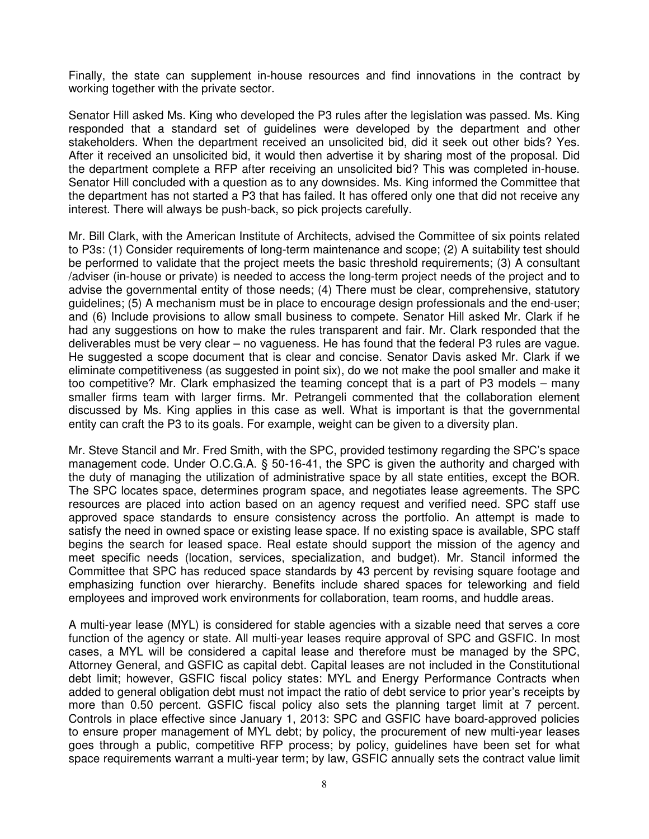Finally, the state can supplement in-house resources and find innovations in the contract by working together with the private sector.

Senator Hill asked Ms. King who developed the P3 rules after the legislation was passed. Ms. King responded that a standard set of guidelines were developed by the department and other stakeholders. When the department received an unsolicited bid, did it seek out other bids? Yes. After it received an unsolicited bid, it would then advertise it by sharing most of the proposal. Did the department complete a RFP after receiving an unsolicited bid? This was completed in-house. Senator Hill concluded with a question as to any downsides. Ms. King informed the Committee that the department has not started a P3 that has failed. It has offered only one that did not receive any interest. There will always be push-back, so pick projects carefully.

Mr. Bill Clark, with the American Institute of Architects, advised the Committee of six points related to P3s: (1) Consider requirements of long-term maintenance and scope; (2) A suitability test should be performed to validate that the project meets the basic threshold requirements; (3) A consultant /adviser (in-house or private) is needed to access the long-term project needs of the project and to advise the governmental entity of those needs; (4) There must be clear, comprehensive, statutory guidelines; (5) A mechanism must be in place to encourage design professionals and the end-user; and (6) Include provisions to allow small business to compete. Senator Hill asked Mr. Clark if he had any suggestions on how to make the rules transparent and fair. Mr. Clark responded that the deliverables must be very clear – no vagueness. He has found that the federal P3 rules are vague. He suggested a scope document that is clear and concise. Senator Davis asked Mr. Clark if we eliminate competitiveness (as suggested in point six), do we not make the pool smaller and make it too competitive? Mr. Clark emphasized the teaming concept that is a part of P3 models – many smaller firms team with larger firms. Mr. Petrangeli commented that the collaboration element discussed by Ms. King applies in this case as well. What is important is that the governmental entity can craft the P3 to its goals. For example, weight can be given to a diversity plan.

Mr. Steve Stancil and Mr. Fred Smith, with the SPC, provided testimony regarding the SPC's space management code. Under O.C.G.A. § 50-16-41, the SPC is given the authority and charged with the duty of managing the utilization of administrative space by all state entities, except the BOR. The SPC locates space, determines program space, and negotiates lease agreements. The SPC resources are placed into action based on an agency request and verified need. SPC staff use approved space standards to ensure consistency across the portfolio. An attempt is made to satisfy the need in owned space or existing lease space. If no existing space is available, SPC staff begins the search for leased space. Real estate should support the mission of the agency and meet specific needs (location, services, specialization, and budget). Mr. Stancil informed the Committee that SPC has reduced space standards by 43 percent by revising square footage and emphasizing function over hierarchy. Benefits include shared spaces for teleworking and field employees and improved work environments for collaboration, team rooms, and huddle areas.

A multi-year lease (MYL) is considered for stable agencies with a sizable need that serves a core function of the agency or state. All multi-year leases require approval of SPC and GSFIC. In most cases, a MYL will be considered a capital lease and therefore must be managed by the SPC, Attorney General, and GSFIC as capital debt. Capital leases are not included in the Constitutional debt limit; however, GSFIC fiscal policy states: MYL and Energy Performance Contracts when added to general obligation debt must not impact the ratio of debt service to prior year's receipts by more than 0.50 percent. GSFIC fiscal policy also sets the planning target limit at 7 percent. Controls in place effective since January 1, 2013: SPC and GSFIC have board-approved policies to ensure proper management of MYL debt; by policy, the procurement of new multi-year leases goes through a public, competitive RFP process; by policy, guidelines have been set for what space requirements warrant a multi-year term; by law, GSFIC annually sets the contract value limit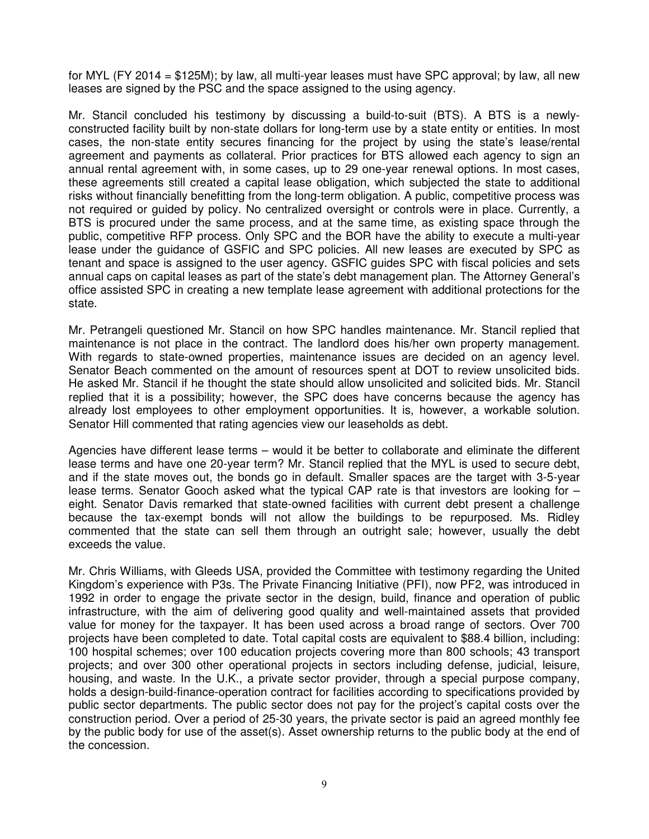for MYL (FY 2014 = \$125M); by law, all multi-year leases must have SPC approval; by law, all new leases are signed by the PSC and the space assigned to the using agency.

Mr. Stancil concluded his testimony by discussing a build-to-suit (BTS). A BTS is a newlyconstructed facility built by non-state dollars for long-term use by a state entity or entities. In most cases, the non-state entity secures financing for the project by using the state's lease/rental agreement and payments as collateral. Prior practices for BTS allowed each agency to sign an annual rental agreement with, in some cases, up to 29 one-year renewal options. In most cases, these agreements still created a capital lease obligation, which subjected the state to additional risks without financially benefitting from the long-term obligation. A public, competitive process was not required or guided by policy. No centralized oversight or controls were in place. Currently, a BTS is procured under the same process, and at the same time, as existing space through the public, competitive RFP process. Only SPC and the BOR have the ability to execute a multi-year lease under the guidance of GSFIC and SPC policies. All new leases are executed by SPC as tenant and space is assigned to the user agency. GSFIC guides SPC with fiscal policies and sets annual caps on capital leases as part of the state's debt management plan. The Attorney General's office assisted SPC in creating a new template lease agreement with additional protections for the state.

Mr. Petrangeli questioned Mr. Stancil on how SPC handles maintenance. Mr. Stancil replied that maintenance is not place in the contract. The landlord does his/her own property management. With regards to state-owned properties, maintenance issues are decided on an agency level. Senator Beach commented on the amount of resources spent at DOT to review unsolicited bids. He asked Mr. Stancil if he thought the state should allow unsolicited and solicited bids. Mr. Stancil replied that it is a possibility; however, the SPC does have concerns because the agency has already lost employees to other employment opportunities. It is, however, a workable solution. Senator Hill commented that rating agencies view our leaseholds as debt.

Agencies have different lease terms – would it be better to collaborate and eliminate the different lease terms and have one 20-year term? Mr. Stancil replied that the MYL is used to secure debt, and if the state moves out, the bonds go in default. Smaller spaces are the target with 3-5-year lease terms. Senator Gooch asked what the typical CAP rate is that investors are looking for – eight. Senator Davis remarked that state-owned facilities with current debt present a challenge because the tax-exempt bonds will not allow the buildings to be repurposed. Ms. Ridley commented that the state can sell them through an outright sale; however, usually the debt exceeds the value.

Mr. Chris Williams, with Gleeds USA, provided the Committee with testimony regarding the United Kingdom's experience with P3s. The Private Financing Initiative (PFI), now PF2, was introduced in 1992 in order to engage the private sector in the design, build, finance and operation of public infrastructure, with the aim of delivering good quality and well-maintained assets that provided value for money for the taxpayer. It has been used across a broad range of sectors. Over 700 projects have been completed to date. Total capital costs are equivalent to \$88.4 billion, including: 100 hospital schemes; over 100 education projects covering more than 800 schools; 43 transport projects; and over 300 other operational projects in sectors including defense, judicial, leisure, housing, and waste. In the U.K., a private sector provider, through a special purpose company, holds a design-build-finance-operation contract for facilities according to specifications provided by public sector departments. The public sector does not pay for the project's capital costs over the construction period. Over a period of 25-30 years, the private sector is paid an agreed monthly fee by the public body for use of the asset(s). Asset ownership returns to the public body at the end of the concession.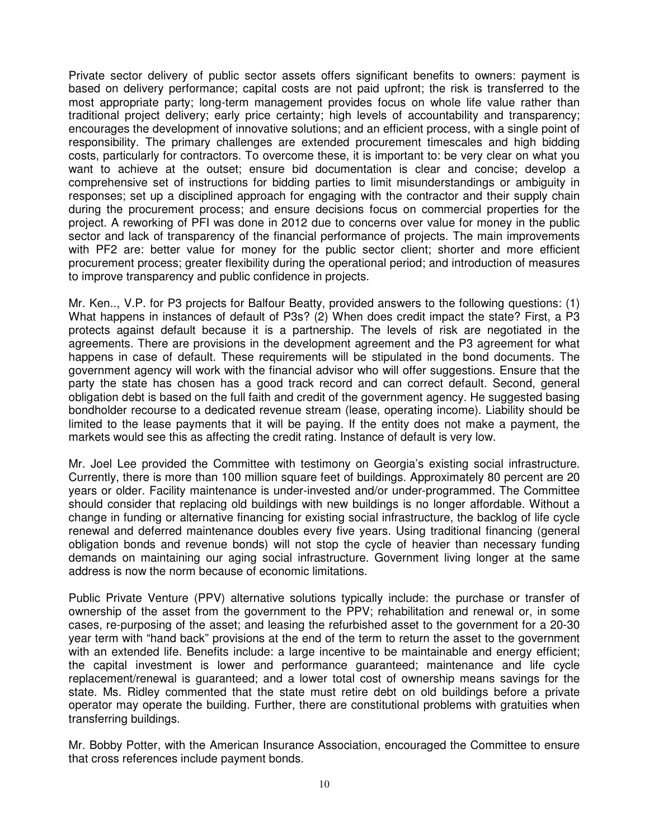Private sector delivery of public sector assets offers significant benefits to owners: payment is based on delivery performance; capital costs are not paid upfront; the risk is transferred to the most appropriate party; long-term management provides focus on whole life value rather than traditional project delivery; early price certainty; high levels of accountability and transparency; encourages the development of innovative solutions; and an efficient process, with a single point of responsibility. The primary challenges are extended procurement timescales and high bidding costs, particularly for contractors. To overcome these, it is important to: be very clear on what you want to achieve at the outset; ensure bid documentation is clear and concise; develop a comprehensive set of instructions for bidding parties to limit misunderstandings or ambiguity in responses; set up a disciplined approach for engaging with the contractor and their supply chain during the procurement process; and ensure decisions focus on commercial properties for the project. A reworking of PFI was done in 2012 due to concerns over value for money in the public sector and lack of transparency of the financial performance of projects. The main improvements with PF2 are: better value for money for the public sector client; shorter and more efficient procurement process; greater flexibility during the operational period; and introduction of measures to improve transparency and public confidence in projects.

Mr. Ken.., V.P. for P3 projects for Balfour Beatty, provided answers to the following questions: (1) What happens in instances of default of P3s? (2) When does credit impact the state? First, a P3 protects against default because it is a partnership. The levels of risk are negotiated in the agreements. There are provisions in the development agreement and the P3 agreement for what happens in case of default. These requirements will be stipulated in the bond documents. The government agency will work with the financial advisor who will offer suggestions. Ensure that the party the state has chosen has a good track record and can correct default. Second, general obligation debt is based on the full faith and credit of the government agency. He suggested basing bondholder recourse to a dedicated revenue stream (lease, operating income). Liability should be limited to the lease payments that it will be paying. If the entity does not make a payment, the markets would see this as affecting the credit rating. Instance of default is very low.

Mr. Joel Lee provided the Committee with testimony on Georgia's existing social infrastructure. Currently, there is more than 100 million square feet of buildings. Approximately 80 percent are 20 years or older. Facility maintenance is under-invested and/or under-programmed. The Committee should consider that replacing old buildings with new buildings is no longer affordable. Without a change in funding or alternative financing for existing social infrastructure, the backlog of life cycle renewal and deferred maintenance doubles every five years. Using traditional financing (general obligation bonds and revenue bonds) will not stop the cycle of heavier than necessary funding demands on maintaining our aging social infrastructure. Government living longer at the same address is now the norm because of economic limitations.

Public Private Venture (PPV) alternative solutions typically include: the purchase or transfer of ownership of the asset from the government to the PPV; rehabilitation and renewal or, in some cases, re-purposing of the asset; and leasing the refurbished asset to the government for a 20-30 year term with "hand back" provisions at the end of the term to return the asset to the government with an extended life. Benefits include: a large incentive to be maintainable and energy efficient; the capital investment is lower and performance guaranteed; maintenance and life cycle replacement/renewal is guaranteed; and a lower total cost of ownership means savings for the state. Ms. Ridley commented that the state must retire debt on old buildings before a private operator may operate the building. Further, there are constitutional problems with gratuities when transferring buildings.

Mr. Bobby Potter, with the American Insurance Association, encouraged the Committee to ensure that cross references include payment bonds.